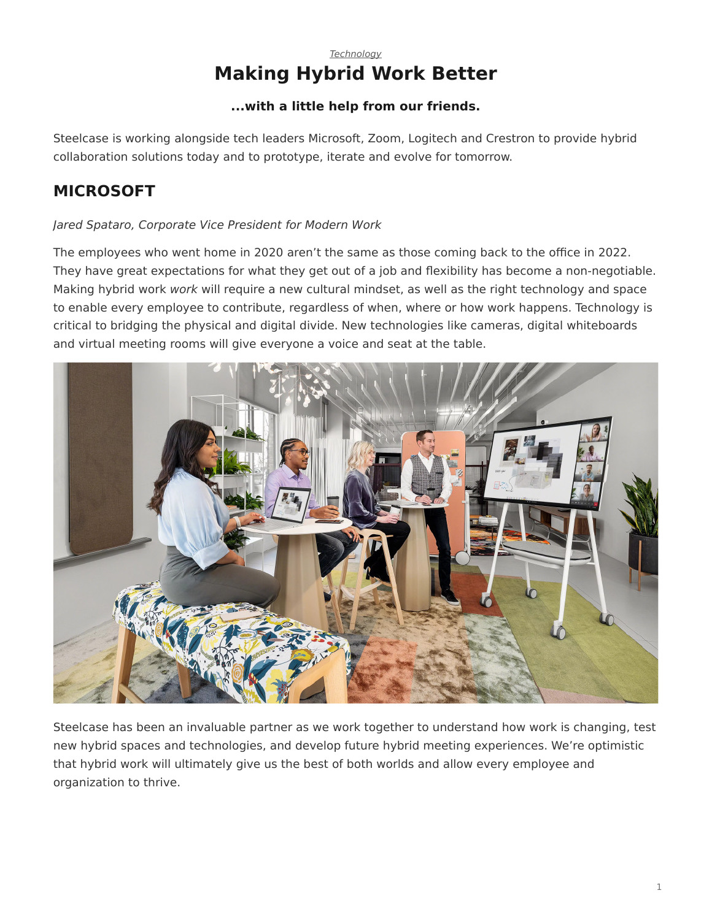### *[Technology](https://www.steelcase.com/research/topics/technology/)* **Making Hybrid Work Better**

### **...with a little help from our friends.**

<span id="page-0-0"></span>Steelcase is working alongside tech leaders Microsoft, Zoom, Logitech and Crestron to provide hybrid collaboration solutions today and to prototype, iterate and evolve for tomorrow.

# **MICROSOFT**

### *Jared Spataro, Corporate Vice President for Modern Work*

The employees who went home in 2020 aren't the same as those coming back to the office in 2022. They have great expectations for what they get out of a job and flexibility has become a non-negotiable. Making hybrid work *work* will require a new cultural mindset, as well as the right technology and space to enable every employee to contribute, regardless of when, where or how work happens. Technology is critical to bridging the physical and digital divide. New technologies like cameras, digital whiteboards and virtual meeting rooms will give everyone a voice and seat at the table.



Steelcase has been an invaluable partner as we work together to understand how work is changing, test new hybrid spaces and technologies, and develop future hybrid meeting experiences. We're optimistic that hybrid work will ultimately give us the best of both worlds and allow every employee and organization to thrive.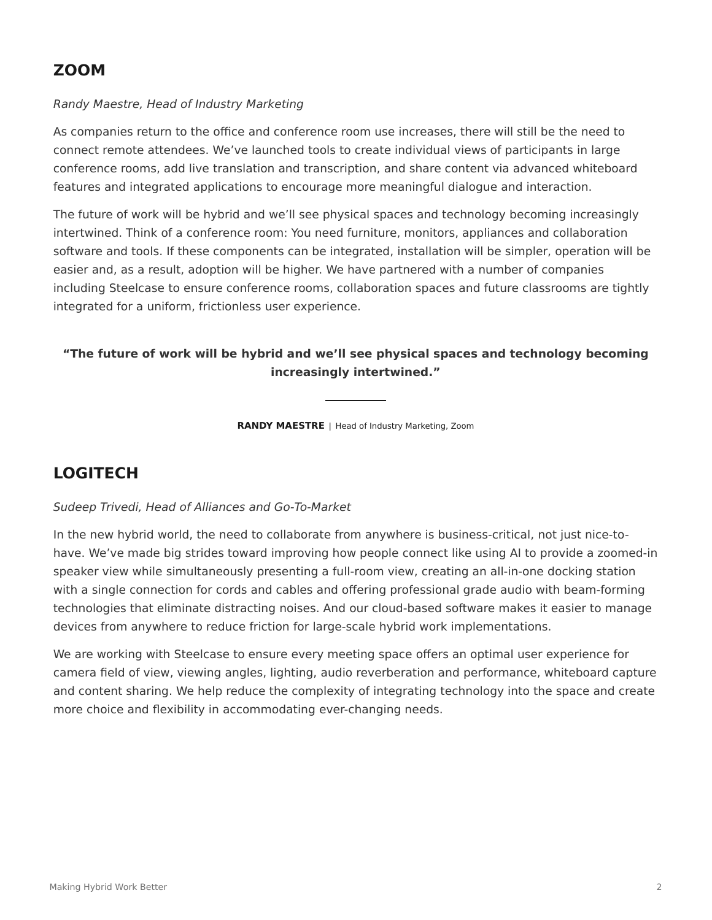### **ZOOM**

#### *Randy Maestre, Head of Industry Marketing*

As companies return to the office and conference room use increases, there will still be the need to connect remote attendees. We've launched tools to create individual views of participants in large conference rooms, add live translation and transcription, and share content via advanced whiteboard features and integrated applications to encourage more meaningful dialogue and interaction.

The future of work will be hybrid and we'll see physical spaces and technology becoming increasingly intertwined. Think of a conference room: You need furniture, monitors, appliances and collaboration software and tools. If these components can be integrated, installation will be simpler, operation will be easier and, as a result, adoption will be higher. We have partnered with a number of companies including Steelcase to ensure conference rooms, collaboration spaces and future classrooms are tightly integrated for a uniform, frictionless user experience.

### **"The future of work will be hybrid and we'll see physical spaces and technology becoming increasingly intertwined."**

**RANDY MAESTRE** | Head of Industry Marketing, Zoom

# **LOGITECH**

#### *Sudeep Trivedi, Head of Alliances and Go-To-Market*

In the new hybrid world, the need to collaborate from anywhere is business-critical, not just nice-tohave. We've made big strides toward improving how people connect like using AI to provide a zoomed-in speaker view while simultaneously presenting a full-room view, creating an all-in-one docking station with a single connection for cords and cables and offering professional grade audio with beam-forming technologies that eliminate distracting noises. And our cloud-based software makes it easier to manage devices from anywhere to reduce friction for large-scale hybrid work implementations.

We are working with Steelcase to ensure every meeting space offers an optimal user experience for camera field of view, viewing angles, lighting, audio reverberation and performance, whiteboard capture and content sharing. We help reduce the complexity of integrating technology into the space and create more choice and flexibility in accommodating ever-changing needs.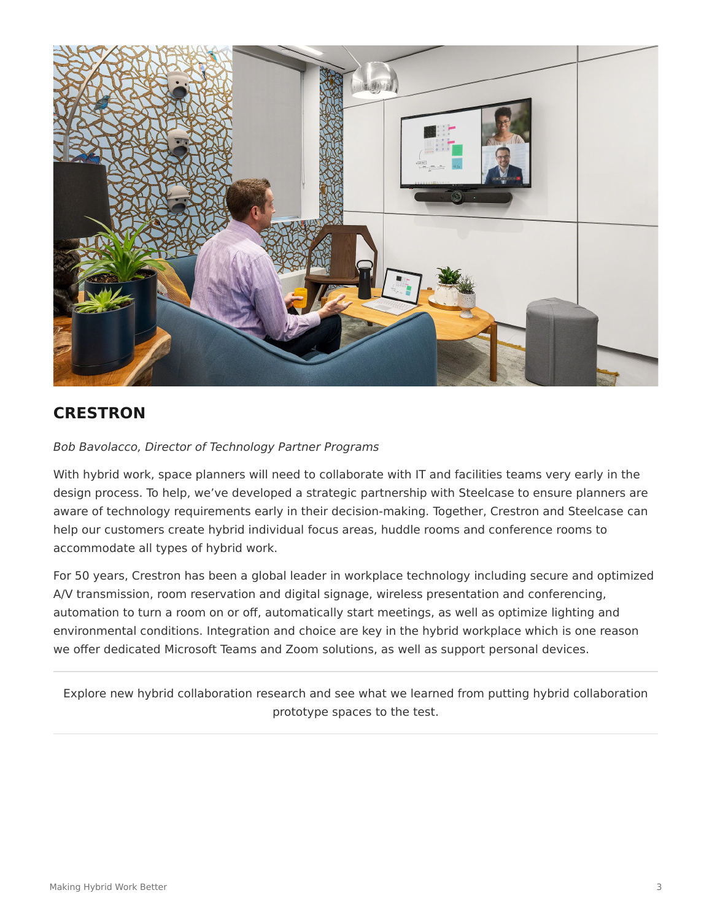

## **CRESTRON**

*Bob Bavolacco, Director of Technology Partner Programs*

With hybrid work, space planners will need to collaborate with IT and facilities teams very early in the design process. To help, we've developed a strategic partnership with Steelcase to ensure planners are aware of technology requirements early in their decision-making. Together, Crestron and Steelcase can help our customers create hybrid individual focus areas, huddle rooms and conference rooms to accommodate all types of hybrid work.

For 50 years, Crestron has been a global leader in workplace technology including secure and optimized A/V transmission, room reservation and digital signage, wireless presentation and conferencing, automation to turn a room on or off, automatically start meetings, as well as optimize lighting and environmental conditions. Integration and choice are key in the hybrid workplace which is one reason we offer dedicated Microsoft Teams and Zoom solutions, as well as support personal devices.

Explore new hybrid collaboration research and see what we learned from putting hybrid collaboration prototype spaces to the test.